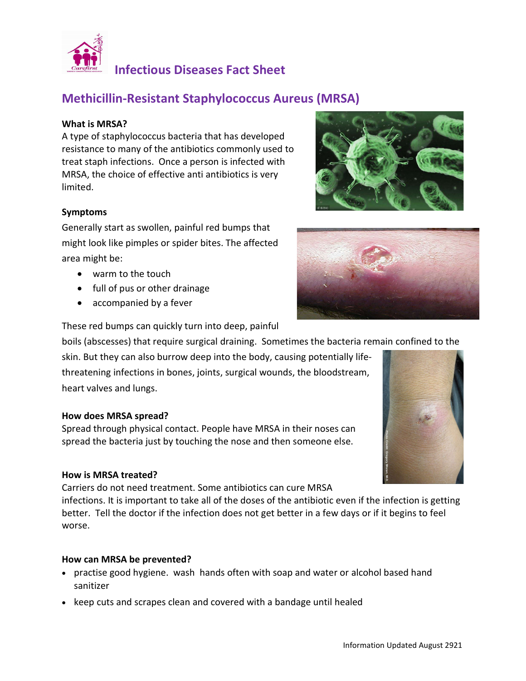

# Infectious Diseases Fact Sheet

# Methicillin-Resistant Staphylococcus Aureus (MRSA)

### What is MRSA?

A type of staphylococcus bacteria that has developed resistance to many of the antibiotics commonly used to treat staph infections. Once a person is infected with MRSA, the choice of effective anti antibiotics is very limited.

#### Symptoms

Generally start as swollen, painful red bumps that might look like pimples or spider bites. The affected area might be:

- warm to the touch
- full of pus or other drainage
- accompanied by a fever

These red bumps can quickly turn into deep, painful

boils (abscesses) that require surgical draining. Sometimes the bacteria remain confined to the

skin. But they can also burrow deep into the body, causing potentially lifethreatening infections in bones, joints, surgical wounds, the bloodstream, heart valves and lungs.

#### How does MRSA spread?

Spread through physical contact. People have MRSA in their noses can spread the bacteria just by touching the nose and then someone else.

#### How is MRSA treated?

Carriers do not need treatment. Some antibiotics can cure MRSA

infections. It is important to take all of the doses of the antibiotic even if the infection is getting better. Tell the doctor if the infection does not get better in a few days or if it begins to feel worse.

## How can MRSA be prevented?

- practise good hygiene. wash hands often with soap and water or alcohol based hand sanitizer
- keep cuts and scrapes clean and covered with a bandage until healed